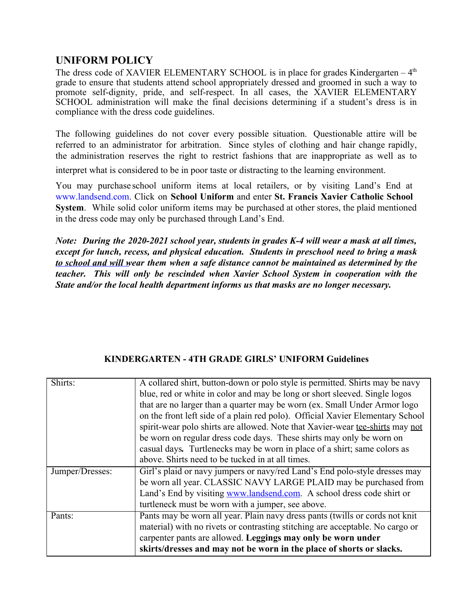## **UNIFORM POLICY**

The dress code of XAVIER ELEMENTARY SCHOOL is in place for grades Kindergarten  $-4<sup>th</sup>$ grade to ensure that students attend school appropriately dressed and groomed in such a way to promote self-dignity, pride, and self-respect. In all cases, the XAVIER ELEMENTARY SCHOOL administration will make the final decisions determining if a student's dress is in compliance with the dress code guidelines.

The following guidelines do not cover every possible situation. Questionable attire will be referred to an administrator for arbitration. Since styles of clothing and hair change rapidly, the administration reserves the right to restrict fashions that are inappropriate as well as to

interpret what is considered to be in poor taste or distracting to the learning environment.

You may purchase school uniform items at local retailers, or by visiting Land's End at [www.landsend.com](http://www.landsend.com/). Click on **School Uniform** and enter **St. Francis Xavier Catholic School System**. While solid color uniform items may be purchased at other stores, the plaid mentioned in the dress code may only be purchased through Land's End.

*Note: During the 2020-2021 school year, students in grades K-4 will wear a mask at all times, except for lunch, recess, and physical education. Students in preschool need to bring a mask to school and will wear them when a safe distance cannot be maintained as determined by the teacher. This will only be rescinded when Xavier School System in cooperation with the State and/or the local health department informs us that masks are no longer necessary.* 

#### **KINDERGARTEN - 4TH GRADE GIRLS' UNIFORM Guidelines**

| Shirts:         | A collared shirt, button-down or polo style is permitted. Shirts may be navy   |
|-----------------|--------------------------------------------------------------------------------|
|                 | blue, red or white in color and may be long or short sleeved. Single logos     |
|                 | that are no larger than a quarter may be worn (ex. Small Under Armor logo      |
|                 | on the front left side of a plain red polo). Official Xavier Elementary School |
|                 | spirit-wear polo shirts are allowed. Note that Xavier-wear tee-shirts may not  |
|                 | be worn on regular dress code days. These shirts may only be worn on           |
|                 | casual days. Turtlenecks may be worn in place of a shirt; same colors as       |
|                 | above. Shirts need to be tucked in at all times.                               |
| Jumper/Dresses: | Girl's plaid or navy jumpers or navy/red Land's End polo-style dresses may     |
|                 | be worn all year. CLASSIC NAVY LARGE PLAID may be purchased from               |
|                 | Land's End by visiting www.landsend.com. A school dress code shirt or          |
|                 | turtleneck must be worn with a jumper, see above.                              |
| Pants:          | Pants may be worn all year. Plain navy dress pants (twills or cords not knit   |
|                 | material) with no rivets or contrasting stitching are acceptable. No cargo or  |
|                 | carpenter pants are allowed. Leggings may only be worn under                   |
|                 | skirts/dresses and may not be worn in the place of shorts or slacks.           |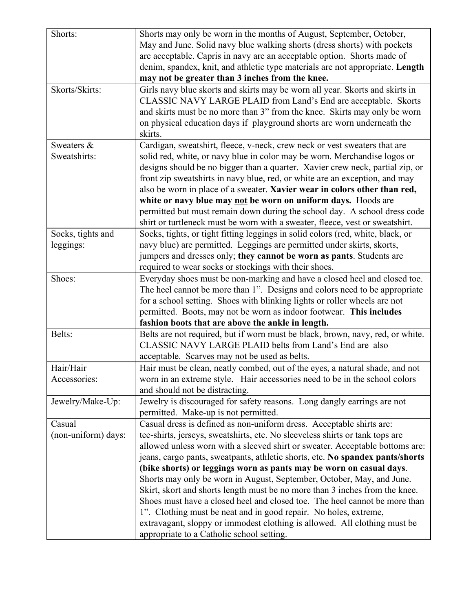| Shorts:             | Shorts may only be worn in the months of August, September, October,            |
|---------------------|---------------------------------------------------------------------------------|
|                     | May and June. Solid navy blue walking shorts (dress shorts) with pockets        |
|                     | are acceptable. Capris in navy are an acceptable option. Shorts made of         |
|                     | denim, spandex, knit, and athletic type materials are not appropriate. Length   |
|                     | may not be greater than 3 inches from the knee.                                 |
| Skorts/Skirts:      | Girls navy blue skorts and skirts may be worn all year. Skorts and skirts in    |
|                     | CLASSIC NAVY LARGE PLAID from Land's End are acceptable. Skorts                 |
|                     | and skirts must be no more than 3" from the knee. Skirts may only be worn       |
|                     | on physical education days if playground shorts are worn underneath the         |
|                     | skirts.                                                                         |
| Sweaters &          |                                                                                 |
|                     | Cardigan, sweatshirt, fleece, v-neck, crew neck or vest sweaters that are       |
| Sweatshirts:        | solid red, white, or navy blue in color may be worn. Merchandise logos or       |
|                     | designs should be no bigger than a quarter. Xavier crew neck, partial zip, or   |
|                     | front zip sweatshirts in navy blue, red, or white are an exception, and may     |
|                     | also be worn in place of a sweater. Xavier wear in colors other than red,       |
|                     | white or navy blue may not be worn on uniform days. Hoods are                   |
|                     | permitted but must remain down during the school day. A school dress code       |
|                     | shirt or turtleneck must be worn with a sweater, fleece, vest or sweatshirt.    |
| Socks, tights and   | Socks, tights, or tight fitting leggings in solid colors (red, white, black, or |
| leggings:           | navy blue) are permitted. Leggings are permitted under skirts, skorts,          |
|                     | jumpers and dresses only; they cannot be worn as pants. Students are            |
|                     | required to wear socks or stockings with their shoes.                           |
| Shoes:              | Everyday shoes must be non-marking and have a closed heel and closed toe.       |
|                     | The heel cannot be more than 1". Designs and colors need to be appropriate      |
|                     | for a school setting. Shoes with blinking lights or roller wheels are not       |
|                     | permitted. Boots, may not be worn as indoor footwear. This includes             |
|                     | fashion boots that are above the ankle in length.                               |
| Belts:              | Belts are not required, but if worn must be black, brown, navy, red, or white.  |
|                     | CLASSIC NAVY LARGE PLAID belts from Land's End are also                         |
|                     | acceptable. Scarves may not be used as belts.                                   |
| Hair/Hair           | Hair must be clean, neatly combed, out of the eyes, a natural shade, and not    |
| Accessories:        | worn in an extreme style. Hair accessories need to be in the school colors      |
|                     | and should not be distracting.                                                  |
| Jewelry/Make-Up:    | Jewelry is discouraged for safety reasons. Long dangly earrings are not         |
|                     | permitted. Make-up is not permitted.                                            |
| Casual              | Casual dress is defined as non-uniform dress. Acceptable shirts are:            |
| (non-uniform) days: | tee-shirts, jerseys, sweatshirts, etc. No sleeveless shirts or tank tops are    |
|                     | allowed unless worn with a sleeved shirt or sweater. Acceptable bottoms are:    |
|                     | jeans, cargo pants, sweatpants, athletic shorts, etc. No spandex pants/shorts   |
|                     | (bike shorts) or leggings worn as pants may be worn on casual days.             |
|                     | Shorts may only be worn in August, September, October, May, and June.           |
|                     | Skirt, skort and shorts length must be no more than 3 inches from the knee.     |
|                     | Shoes must have a closed heel and closed toe. The heel cannot be more than      |
|                     |                                                                                 |
|                     | 1". Clothing must be neat and in good repair. No holes, extreme,                |
|                     | extravagant, sloppy or immodest clothing is allowed. All clothing must be       |
|                     | appropriate to a Catholic school setting.                                       |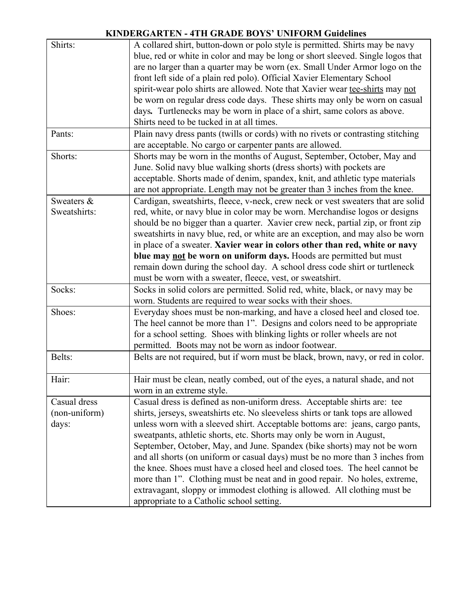## **KINDERGARTEN - 4TH GRADE BOYS' UNIFORM Guidelines**

| Shirts:       | A collared shirt, button-down or polo style is permitted. Shirts may be navy                                                                                    |
|---------------|-----------------------------------------------------------------------------------------------------------------------------------------------------------------|
|               | blue, red or white in color and may be long or short sleeved. Single logos that                                                                                 |
|               | are no larger than a quarter may be worn (ex. Small Under Armor logo on the                                                                                     |
|               | front left side of a plain red polo). Official Xavier Elementary School                                                                                         |
|               | spirit-wear polo shirts are allowed. Note that Xavier wear tee-shirts may not                                                                                   |
|               | be worn on regular dress code days. These shirts may only be worn on casual                                                                                     |
|               | days. Turtlenecks may be worn in place of a shirt, same colors as above.                                                                                        |
|               | Shirts need to be tucked in at all times.                                                                                                                       |
| Pants:        | Plain navy dress pants (twills or cords) with no rivets or contrasting stitching                                                                                |
|               | are acceptable. No cargo or carpenter pants are allowed.                                                                                                        |
| Shorts:       | Shorts may be worn in the months of August, September, October, May and                                                                                         |
|               | June. Solid navy blue walking shorts (dress shorts) with pockets are                                                                                            |
|               | acceptable. Shorts made of denim, spandex, knit, and athletic type materials                                                                                    |
|               | are not appropriate. Length may not be greater than 3 inches from the knee.                                                                                     |
| Sweaters &    |                                                                                                                                                                 |
| Sweatshirts:  | Cardigan, sweatshirts, fleece, v-neck, crew neck or vest sweaters that are solid<br>red, white, or navy blue in color may be worn. Merchandise logos or designs |
|               |                                                                                                                                                                 |
|               | should be no bigger than a quarter. Xavier crew neck, partial zip, or front zip                                                                                 |
|               | sweatshirts in navy blue, red, or white are an exception, and may also be worn                                                                                  |
|               | in place of a sweater. Xavier wear in colors other than red, white or navy                                                                                      |
|               | blue may not be worn on uniform days. Hoods are permitted but must                                                                                              |
|               | remain down during the school day. A school dress code shirt or turtleneck                                                                                      |
|               | must be worn with a sweater, fleece, vest, or sweatshirt.                                                                                                       |
| Socks:        | Socks in solid colors are permitted. Solid red, white, black, or navy may be                                                                                    |
|               | worn. Students are required to wear socks with their shoes.                                                                                                     |
| Shoes:        | Everyday shoes must be non-marking, and have a closed heel and closed toe.                                                                                      |
|               | The heel cannot be more than 1". Designs and colors need to be appropriate                                                                                      |
|               | for a school setting. Shoes with blinking lights or roller wheels are not                                                                                       |
|               | permitted. Boots may not be worn as indoor footwear.                                                                                                            |
| Belts:        | Belts are not required, but if worn must be black, brown, navy, or red in color.                                                                                |
|               |                                                                                                                                                                 |
| Hair:         | Hair must be clean, neatly combed, out of the eyes, a natural shade, and not                                                                                    |
|               | worn in an extreme style.                                                                                                                                       |
| Casual dress  | Casual dress is defined as non-uniform dress. Acceptable shirts are: tee                                                                                        |
| (non-uniform) | shirts, jerseys, sweatshirts etc. No sleeveless shirts or tank tops are allowed                                                                                 |
| days:         | unless worn with a sleeved shirt. Acceptable bottoms are: jeans, cargo pants,                                                                                   |
|               | sweatpants, athletic shorts, etc. Shorts may only be worn in August,                                                                                            |
|               | September, October, May, and June. Spandex (bike shorts) may not be worn                                                                                        |
|               | and all shorts (on uniform or casual days) must be no more than 3 inches from                                                                                   |
|               | the knee. Shoes must have a closed heel and closed toes. The heel cannot be                                                                                     |
|               | more than 1". Clothing must be neat and in good repair. No holes, extreme,                                                                                      |
|               | extravagant, sloppy or immodest clothing is allowed. All clothing must be                                                                                       |
|               | appropriate to a Catholic school setting.                                                                                                                       |
|               |                                                                                                                                                                 |